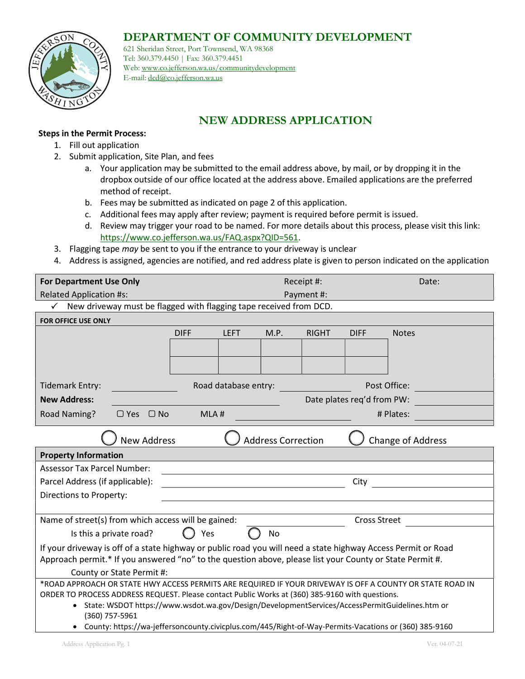## DEPARTMENT OF COMMUNITY DEVELOPMENT



621 Sheridan Street, Port Townsend, WA 98368 Tel: 360.379.4450 | Fax: 360.379.4451 Web: www.co.jefferson.wa.us/communitydevelopment E-mail: dcd@co.jefferson.wa.us

## NEW ADDRESS APPLICATION

## Steps in the Permit Process:

- 1. Fill out application
- 2. Submit application, Site Plan, and fees
	- a. Your application may be submitted to the email address above, by mail, or by dropping it in the dropbox outside of our office located at the address above. Emailed applications are the preferred method of receipt.
	- b. Fees may be submitted as indicated on page 2 of this application.
	- c. Additional fees may apply after review; payment is required before permit is issued.
	- d. Review may trigger your road to be named. For more details about this process, please visit this link: https://www.co.jefferson.wa.us/FAQ.aspx?QID=561.
- 3. Flagging tape may be sent to you if the entrance to your driveway is unclear
- 4. Address is assigned, agencies are notified, and red address plate is given to person indicated on the application

| <b>For Department Use Only</b>                                                                                   | Receipt #:                 |             |            |              | Date:        |              |  |
|------------------------------------------------------------------------------------------------------------------|----------------------------|-------------|------------|--------------|--------------|--------------|--|
| <b>Related Application #s:</b>                                                                                   |                            |             | Payment #: |              |              |              |  |
| New driveway must be flagged with flagging tape received from DCD.<br>$\checkmark$                               |                            |             |            |              |              |              |  |
| FOR OFFICE USE ONLY                                                                                              |                            |             |            |              |              |              |  |
|                                                                                                                  | <b>DIFF</b>                | <b>LEFT</b> | M.P.       | <b>RIGHT</b> | <b>DIFF</b>  | <b>Notes</b> |  |
|                                                                                                                  |                            |             |            |              |              |              |  |
|                                                                                                                  |                            |             |            |              |              |              |  |
|                                                                                                                  |                            |             |            |              |              |              |  |
| <b>Tidemark Entry:</b>                                                                                           | Road database entry:       |             |            |              | Post Office: |              |  |
| <b>New Address:</b>                                                                                              | Date plates req'd from PW: |             |            |              |              |              |  |
| Road Naming?<br>$\Box$ Yes $\Box$ No                                                                             | MLA#<br># Plates:          |             |            |              |              |              |  |
| <b>New Address</b><br><b>Address Correction</b><br>Change of Address                                             |                            |             |            |              |              |              |  |
| <b>Property Information</b>                                                                                      |                            |             |            |              |              |              |  |
| <b>Assessor Tax Parcel Number:</b>                                                                               |                            |             |            |              |              |              |  |
| Parcel Address (if applicable):                                                                                  | City                       |             |            |              |              |              |  |
| Directions to Property:                                                                                          |                            |             |            |              |              |              |  |
|                                                                                                                  |                            |             |            |              |              |              |  |
| Name of street(s) from which access will be gained:<br><b>Cross Street</b>                                       |                            |             |            |              |              |              |  |
| Is this a private road?<br>No<br>Yes                                                                             |                            |             |            |              |              |              |  |
| If your driveway is off of a state highway or public road you will need a state highway Access Permit or Road    |                            |             |            |              |              |              |  |
| Approach permit.* If you answered "no" to the question above, please list your County or State Permit #.         |                            |             |            |              |              |              |  |
| County or State Permit #:                                                                                        |                            |             |            |              |              |              |  |
| *ROAD APPROACH OR STATE HWY ACCESS PERMITS ARE REQUIRED IF YOUR DRIVEWAY IS OFF A COUNTY OR STATE ROAD IN        |                            |             |            |              |              |              |  |
| ORDER TO PROCESS ADDRESS REQUEST. Please contact Public Works at (360) 385-9160 with questions.                  |                            |             |            |              |              |              |  |
| State: WSDOT https://www.wsdot.wa.gov/Design/DevelopmentServices/AccessPermitGuidelines.htm or<br>(360) 757-5961 |                            |             |            |              |              |              |  |
| • County: https://wa-jeffersoncounty.civicplus.com/445/Right-of-Way-Permits-Vacations or (360) 385-9160          |                            |             |            |              |              |              |  |